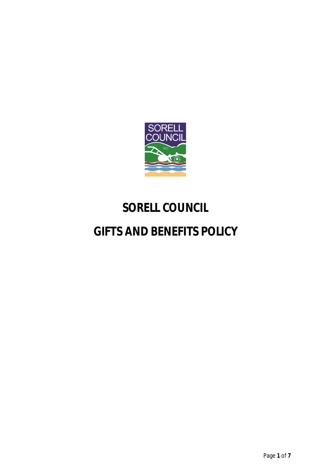

# **SORELL COUNCIL GIFTS AND BENEFITS POLICY**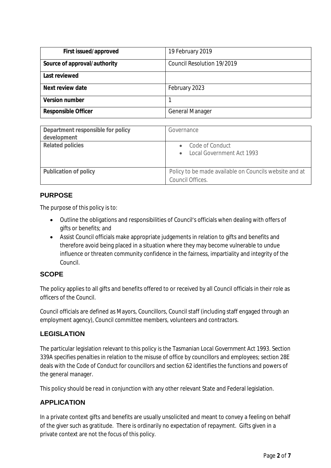| First issued/approved        | 19 February 2019           |
|------------------------------|----------------------------|
| Source of approval/authority | Council Resolution 19/2019 |
| Last reviewed                |                            |
| Next review date             | February 2023              |
| <b>Version number</b>        |                            |
| <b>Responsible Officer</b>   | <b>General Manager</b>     |

| Department responsible for policy<br>development | Governance                                                                 |
|--------------------------------------------------|----------------------------------------------------------------------------|
| <b>Related policies</b>                          | Code of Conduct<br><b>Local Government Act 1993</b>                        |
| <b>Publication of policy</b>                     | Policy to be made available on Councils website and at<br>Council Offices. |

#### **PURPOSE**

The purpose of this policy is to:

- Outline the obligations and responsibilities of Council's officials when dealing with offers of gifts or benefits; and
- Assist Council officials make appropriate judgements in relation to gifts and benefits and therefore avoid being placed in a situation where they may become vulnerable to undue influence or threaten community confidence in the fairness, impartiality and integrity of the Council.

# **SCOPE**

The policy applies to all gifts and benefits offered to or received by all Council officials in their role as officers of the Council.

Council officials are defined as Mayors, Councillors, Council staff (including staff engaged through an employment agency), Council committee members, volunteers and contractors.

# **LEGISLATION**

The particular legislation relevant to this policy is the Tasmanian *Local Government Act 1993.* Section 339A specifies penalties in relation to the misuse of office by councillors and employees; section 28E deals with the Code of Conduct for councillors and section 62 identifies the functions and powers of the general manager.

This policy should be read in conjunction with any other relevant State and Federal legislation.

# **APPLICATION**

In a private context gifts and benefits are usually unsolicited and meant to convey a feeling on behalf of the giver such as gratitude. There is ordinarily no expectation of repayment. Gifts given in a private context are not the focus of this policy.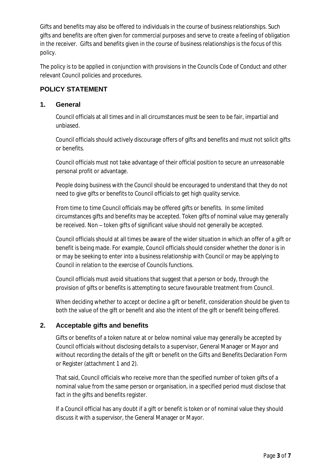Gifts and benefits may also be offered to individuals in the course of business relationships. Such gifts and benefits are often given for commercial purposes and serve to create a feeling of obligation in the receiver. Gifts and benefits given in the course of business relationships is the focus of this policy.

The policy is to be applied in conjunction with provisions in the Councils Code of Conduct and other relevant Council policies and procedures.

# **POLICY STATEMENT**

# **1. General**

Council officials at all times and in all circumstances must be seen to be fair, impartial and unbiased.

Council officials should actively discourage offers of gifts and benefits and must not solicit gifts or benefits.

Council officials must not take advantage of their official position to secure an unreasonable personal profit or advantage.

People doing business with the Council should be encouraged to understand that they do not need to give gifts or benefits to Council officials to get high quality service.

From time to time Council officials may be offered gifts or benefits. In some limited circumstances gifts and benefits may be accepted. Token gifts of nominal value may generally be received. Non – token gifts of significant value should not generally be accepted.

Council officials should at all times be aware of the wider situation in which an offer of a gift or benefit is being made. For example, Council officials should consider whether the donor is in or may be seeking to enter into a business relationship with Council or may be applying to Council in relation to the exercise of Councils functions.

Council officials must avoid situations that suggest that a person or body, through the provision of gifts or benefits is attempting to secure favourable treatment from Council.

When deciding whether to accept or decline a gift or benefit, consideration should be given to both the value of the gift or benefit and also the intent of the gift or benefit being offered.

# **2. Acceptable gifts and benefits**

Gifts or benefits of a token nature at or below nominal value may generally be accepted by Council officials without disclosing details to a supervisor, General Manager or Mayor and without recording the details of the gift or benefit on the Gifts and Benefits Declaration Form or Register (attachment 1 and 2).

That said, Council officials who receive more than the specified number of token gifts of a nominal value from the same person or organisation, in a specified period must disclose that fact in the gifts and benefits register.

If a Council official has any doubt if a gift or benefit is token or of nominal value they should discuss it with a supervisor, the General Manager or Mayor.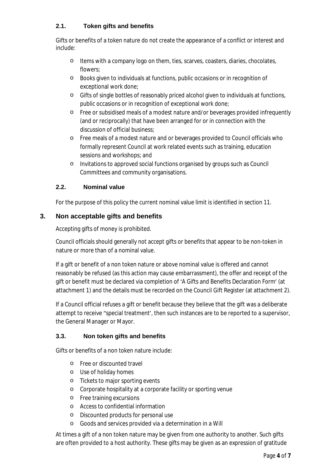# **2.1. Token gifts and benefits**

Gifts or benefits of a token nature do not create the appearance of a conflict or interest and include:

- o Items with a company logo on them, ties, scarves, coasters, diaries, chocolates, flowers;
- o Books given to individuals at functions, public occasions or in recognition of exceptional work done;
- o Gifts of single bottles of reasonably priced alcohol given to individuals at functions, public occasions or in recognition of exceptional work done;
- o Free or subsidised meals of a modest nature and/or beverages provided infrequently (and or reciprocally) that have been arranged for or in connection with the discussion of official business;
- o Free meals of a modest nature and or beverages provided to Council officials who formally represent Council at work related events such as training, education sessions and workshops; and
- o Invitations to approved social functions organised by groups such as Council Committees and community organisations.

#### **2.2. Nominal value**

For the purpose of this policy the current nominal value limit is identified in section 11.

# **3. Non acceptable gifts and benefits**

Accepting gifts of money is prohibited.

Council officials should generally not accept gifts or benefits that appear to be non-token in nature or more than of a nominal value.

If a gift or benefit of a non token nature or above nominal value is offered and cannot reasonably be refused (as this action may cause embarrassment), the offer and receipt of the gift or benefit must be declared via completion of 'A Gifts and Benefits Declaration Form' (at attachment 1) and the details must be recorded on the Council Gift Register (at attachment 2).

If a Council official refuses a gift or benefit because they believe that the gift was a deliberate attempt to receive "special treatment', then such instances are to be reported to a supervisor, the General Manager or Mayor.

#### **3.3. Non token gifts and benefits**

Gifts or benefits of a non token nature include:

- o Free or discounted travel
- o Use of holiday homes
- o Tickets to major sporting events
- o Corporate hospitality at a corporate facility or sporting venue
- o Free training excursions
- o Access to confidential information
- o Discounted products for personal use
- o Goods and services provided via a determination in a Will

At times a gift of a non token nature may be given from one authority to another. Such gifts are often provided to a host authority. These gifts may be given as an expression of gratitude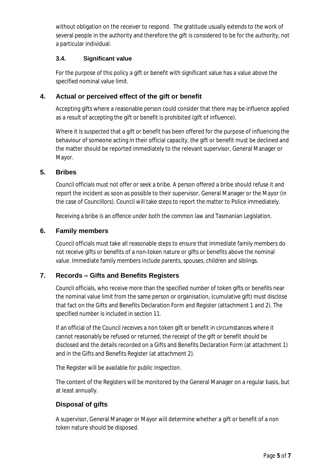without obligation on the receiver to respond. The gratitude usually extends to the work of several people in the authority and therefore the gift is considered to be for the authority, not a particular individual.

#### **3.4. Significant value**

For the purpose of this policy a gift or benefit with significant value has a value above the specified nominal value limit.

#### **4. Actual or perceived effect of the gift or benefit**

Accepting gifts where a reasonable person could consider that there may be influence applied as a result of accepting the gift or benefit is prohibited (gift of influence).

Where it is suspected that a gift or benefit has been offered for the purpose of influencing the behaviour of someone acting in their official capacity, the gift or benefit must be declined and the matter should be reported immediately to the relevant supervisor, General Manager or Mayor.

#### **5. Bribes**

Council officials must not offer or seek a bribe. A person offered a bribe should refuse it and report the incident as soon as possible to their supervisor, General Manager or the Mayor (in the case of Councillors). Council will take steps to report the matter to Police immediately.

Receiving a bribe is an offence under both the common law and Tasmanian Legislation.

#### **6. Family members**

Council officials must take all reasonable steps to ensure that immediate family members do not receive gifts or benefits of a non-token nature or gifts or benefits above the nominal value. Immediate family members include parents, spouses, children and siblings.

# **7. Records – Gifts and Benefits Registers**

Council officials, who receive more than the specified number of token gifts or benefits near the nominal value limit from the same person or organisation, (cumulative gift) must disclose that fact on the Gifts and Benefits Declaration Form and Register (attachment 1 and 2). The specified number is included in section 11.

If an official of the Council receives a non token gift or benefit in circumstances where it cannot reasonably be refused or returned, the receipt of the gift or benefit should be disclosed and the details recorded on a Gifts and Benefits Declaration Form (at attachment 1) and in the Gifts and Benefits Register (at attachment 2).

The Register will be available for public inspection.

The content of the Registers will be monitored by the General Manager on a regular basis, but at least annually.

# **Disposal of gifts**

A supervisor, General Manager or Mayor will determine whether a gift or benefit of a non token nature should be disposed.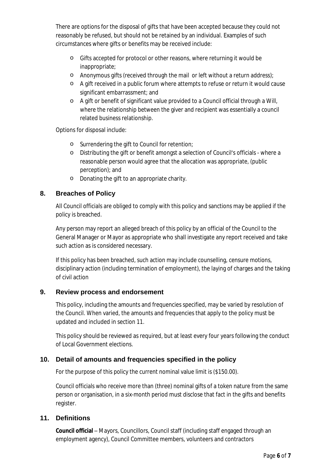There are options for the disposal of gifts that have been accepted because they could not reasonably be refused, but should not be retained by an individual. Examples of such circumstances where gifts or benefits may be received include:

- o Gifts accepted for protocol or other reasons, where returning it would be inappropriate;
- o Anonymous gifts (received through the mail or left without a return address);
- o A gift received in a public forum where attempts to refuse or return it would cause significant embarrassment; and
- o A gift or benefit of significant value provided to a Council official through a Will, where the relationship between the giver and recipient was essentially a council related business relationship.

Options for disposal include:

- o Surrendering the gift to Council for retention;
- o Distributing the gift or benefit amongst a selection of Council's officials where a reasonable person would agree that the allocation was appropriate, (public perception); and
- o Donating the gift to an appropriate charity.

# **8. Breaches of Policy**

All Council officials are obliged to comply with this policy and sanctions may be applied if the policy is breached.

Any person may report an alleged breach of this policy by an official of the Council to the General Manager or Mayor as appropriate who shall investigate any report received and take such action as is considered necessary.

If this policy has been breached, such action may include counselling, censure motions, disciplinary action (including termination of employment), the laying of charges and the taking of civil action

# **9. Review process and endorsement**

This policy, including the amounts and frequencies specified, may be varied by resolution of the Council. When varied, the amounts and frequencies that apply to the policy must be updated and included in section 11.

This policy should be reviewed as required, but at least every four years following the conduct of Local Government elections.

# **10. Detail of amounts and frequencies specified in the policy**

For the purpose of this policy the current nominal value limit is (\$150.00).

Council officials who receive more than (three) nominal gifts of a token nature from the same person or organisation, in a six-month period must disclose that fact in the gifts and benefits register.

# **11. Definitions**

**Council official** – Mayors, Councillors, Council staff (including staff engaged through an employment agency), Council Committee members, volunteers and contractors